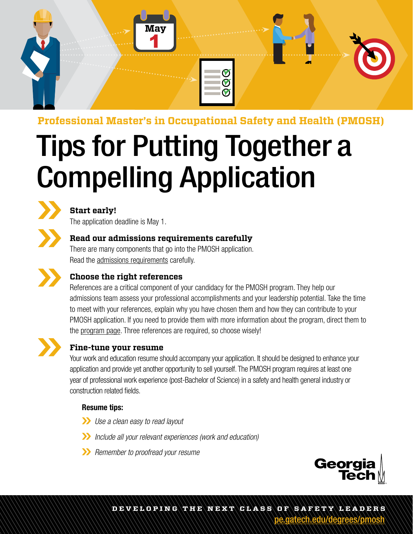

# **Professional Master's in Occupational Safety and Health (PMOSH)**

# Tips for Putting Together a Compelling Application



# **Start early!**

The application deadline is May 1.

# **Read our admissions requirements carefully**

There are many components that go into the PMOSH application. Read the [admissions requirements](https://pe.gatech.edu/degrees/pmosh/admission-requirements) carefully.



## **Choose the right references**

References are a critical component of your candidacy for the PMOSH program. They help our admissions team assess your professional accomplishments and your leadership potential. Take the time to meet with your references, explain why you have chosen them and how they can contribute to your PMOSH application. If you need to provide them with more information about the program, direct them to the [program p](https://pe.gatech.edu/degrees/pmosh)age. Three references are required, so choose wisely!



#### **Fine-tune your resume**

Your work and education resume should accompany your application. It should be designed to enhance your application and provide yet another opportunity to sell yourself. The PMOSH program requires at least one year of professional work experience (post-Bachelor of Science) in a safety and health general industry or construction related fields.

#### Resume tips:

- *Use a clean easy to read layout*
- *Include all your relevant experiences (work and education)*
- *Remember to proofread your resume*



**DEVELOPING THE NEXT CLASS OF S afet y LEADERS** [pe.gatech.edu/degrees/pmosh](http://pe.gatech.edu/degrees/pmosh)